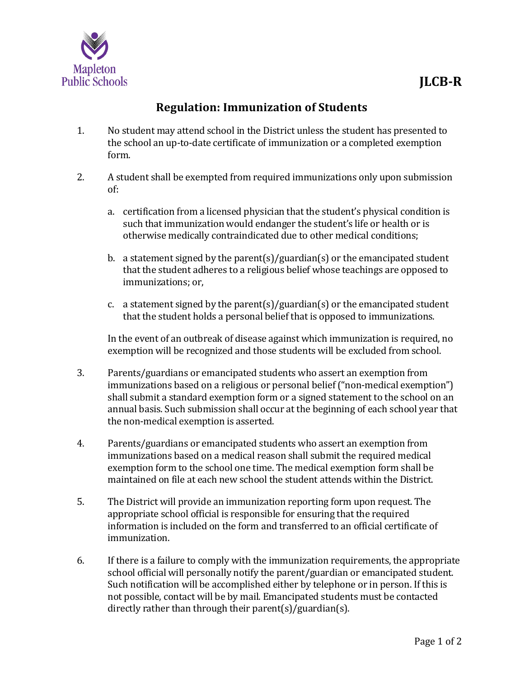

## **Regulation: Immunization of Students**

- 1. No student may attend school in the District unless the student has presented to the school an up-to-date certificate of immunization or a completed exemption form.
- 2. A student shall be exempted from required immunizations only upon submission of:
	- a. certification from a licensed physician that the student's physical condition is such that immunization would endanger the student's life or health or is otherwise medically contraindicated due to other medical conditions;
	- b. a statement signed by the parent(s)/guardian(s) or the emancipated student that the student adheres to a religious belief whose teachings are opposed to immunizations; or,
	- c. a statement signed by the parent(s)/guardian(s) or the emancipated student that the student holds a personal belief that is opposed to immunizations.

In the event of an outbreak of disease against which immunization is required, no exemption will be recognized and those students will be excluded from school.

- 3. Parents/guardians or emancipated students who assert an exemption from immunizations based on a religious or personal belief ("non-medical exemption") shall submit a standard exemption form or a signed statement to the school on an annual basis. Such submission shall occur at the beginning of each school year that the non-medical exemption is asserted.
- 4. Parents/guardians or emancipated students who assert an exemption from immunizations based on a medical reason shall submit the required medical exemption form to the school one time. The medical exemption form shall be maintained on file at each new school the student attends within the District.
- 5. The District will provide an immunization reporting form upon request. The appropriate school official is responsible for ensuring that the required information is included on the form and transferred to an official certificate of immunization.
- 6. If there is a failure to comply with the immunization requirements, the appropriate school official will personally notify the parent/guardian or emancipated student. Such notification will be accomplished either by telephone or in person. If this is not possible, contact will be by mail. Emancipated students must be contacted directly rather than through their parent(s)/guardian(s).